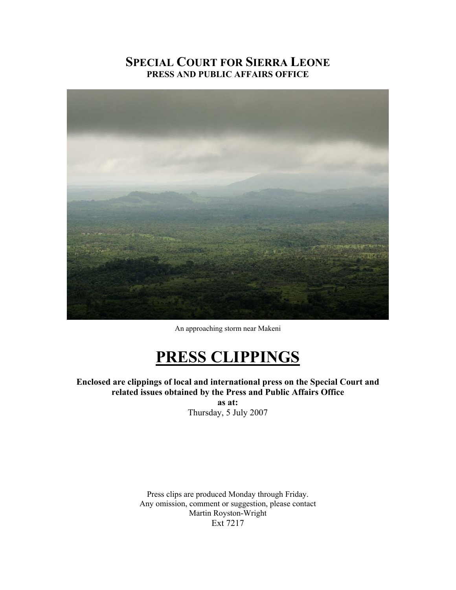# **SPECIAL COURT FOR SIERRA LEONE PRESS AND PUBLIC AFFAIRS OFFICE**



An approaching storm near Makeni

# **PRESS CLIPPINGS**

**Enclosed are clippings of local and international press on the Special Court and related issues obtained by the Press and Public Affairs Office as at:** 

Thursday, 5 July 2007

Press clips are produced Monday through Friday. Any omission, comment or suggestion, please contact Martin Royston-Wright Ext 7217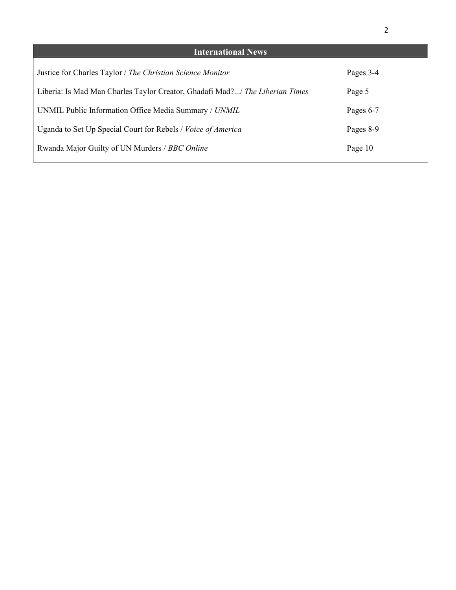| <b>International News</b>                                                    |           |
|------------------------------------------------------------------------------|-----------|
| Justice for Charles Taylor / The Christian Science Monitor                   | Pages 3-4 |
| Liberia: Is Mad Man Charles Taylor Creator, Ghadafi Mad?/ The Liberian Times | Page 5    |
| UNMIL Public Information Office Media Summary / UNMIL                        | Pages 6-7 |
| Uganda to Set Up Special Court for Rebels / <i>Voice of America</i>          | Pages 8-9 |
| Rwanda Major Guilty of UN Murders / BBC Online                               | Page 10   |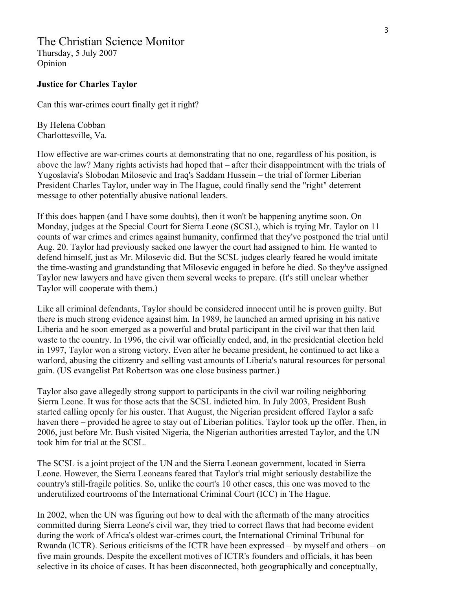# The Christian Science Monitor

Thursday, 5 July 2007 Opinion

### **Justice for Charles Taylor**

Can this war-crimes court finally get it right?

By Helena Cobban Charlottesville, Va.

How effective are war-crimes courts at demonstrating that no one, regardless of his position, is above the law? Many rights activists had hoped that – after their disappointment with the trials of Yugoslavia's Slobodan Milosevic and Iraq's Saddam Hussein – the trial of former Liberian President Charles Taylor, under way in The Hague, could finally send the "right" deterrent message to other potentially abusive national leaders.

If this does happen (and I have some doubts), then it won't be happening anytime soon. On Monday, judges at the Special Court for Sierra Leone (SCSL), which is trying Mr. Taylor on 11 counts of war crimes and crimes against humanity, confirmed that they've postponed the trial until Aug. 20. Taylor had previously sacked one lawyer the court had assigned to him. He wanted to defend himself, just as Mr. Milosevic did. But the SCSL judges clearly feared he would imitate the time-wasting and grandstanding that Milosevic engaged in before he died. So they've assigned Taylor new lawyers and have given them several weeks to prepare. (It's still unclear whether Taylor will cooperate with them.)

Like all criminal defendants, Taylor should be considered innocent until he is proven guilty. But there is much strong evidence against him. In 1989, he launched an armed uprising in his native Liberia and he soon emerged as a powerful and brutal participant in the civil war that then laid waste to the country. In 1996, the civil war officially ended, and, in the presidential election held in 1997, Taylor won a strong victory. Even after he became president, he continued to act like a warlord, abusing the citizenry and selling vast amounts of Liberia's natural resources for personal gain. (US evangelist Pat Robertson was one close business partner.)

Taylor also gave allegedly strong support to participants in the civil war roiling neighboring Sierra Leone. It was for those acts that the SCSL indicted him. In July 2003, President Bush started calling openly for his ouster. That August, the Nigerian president offered Taylor a safe haven there – provided he agree to stay out of Liberian politics. Taylor took up the offer. Then, in 2006, just before Mr. Bush visited Nigeria, the Nigerian authorities arrested Taylor, and the UN took him for trial at the SCSL.

The SCSL is a joint project of the UN and the Sierra Leonean government, located in Sierra Leone. However, the Sierra Leoneans feared that Taylor's trial might seriously destabilize the country's still-fragile politics. So, unlike the court's 10 other cases, this one was moved to the underutilized courtrooms of the International Criminal Court (ICC) in The Hague.

In 2002, when the UN was figuring out how to deal with the aftermath of the many atrocities committed during Sierra Leone's civil war, they tried to correct flaws that had become evident during the work of Africa's oldest war-crimes court, the International Criminal Tribunal for Rwanda (ICTR). Serious criticisms of the ICTR have been expressed – by myself and others – on five main grounds. Despite the excellent motives of ICTR's founders and officials, it has been selective in its choice of cases. It has been disconnected, both geographically and conceptually,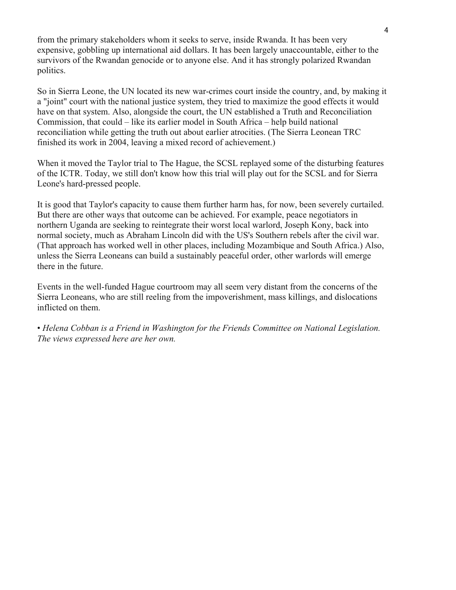from the primary stakeholders whom it seeks to serve, inside Rwanda. It has been very expensive, gobbling up international aid dollars. It has been largely unaccountable, either to the survivors of the Rwandan genocide or to anyone else. And it has strongly polarized Rwandan politics.

So in Sierra Leone, the UN located its new war-crimes court inside the country, and, by making it a "joint" court with the national justice system, they tried to maximize the good effects it would have on that system. Also, alongside the court, the UN established a Truth and Reconciliation Commission, that could – like its earlier model in South Africa – help build national reconciliation while getting the truth out about earlier atrocities. (The Sierra Leonean TRC finished its work in 2004, leaving a mixed record of achievement.)

When it moved the Taylor trial to The Hague, the SCSL replayed some of the disturbing features of the ICTR. Today, we still don't know how this trial will play out for the SCSL and for Sierra Leone's hard-pressed people.

It is good that Taylor's capacity to cause them further harm has, for now, been severely curtailed. But there are other ways that outcome can be achieved. For example, peace negotiators in northern Uganda are seeking to reintegrate their worst local warlord, Joseph Kony, back into normal society, much as Abraham Lincoln did with the US's Southern rebels after the civil war. (That approach has worked well in other places, including Mozambique and South Africa.) Also, unless the Sierra Leoneans can build a sustainably peaceful order, other warlords will emerge there in the future.

Events in the well-funded Hague courtroom may all seem very distant from the concerns of the Sierra Leoneans, who are still reeling from the impoverishment, mass killings, and dislocations inflicted on them.

• *Helena Cobban is a Friend in Washington for the Friends Committee on National Legislation. The views expressed here are her own.*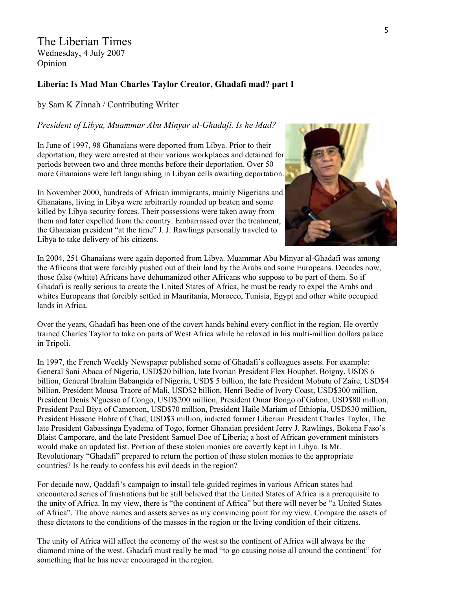The Liberian Times Wednesday, 4 July 2007 Opinion

### **Liberia: Is Mad Man Charles Taylor Creator, Ghadafi mad? part I**

by Sam K Zinnah / Contributing Writer

### *President of Libya, Muammar Abu Minyar al-Ghadafi. Is he Mad?*

In June of 1997, 98 Ghanaians were deported from Libya. Prior to their deportation, they were arrested at their various workplaces and detained for periods between two and three months before their deportation. Over 50 more Ghanaians were left languishing in Libyan cells awaiting deportation.

In November 2000, hundreds of African immigrants, mainly Nigerians and Ghanaians, living in Libya were arbitrarily rounded up beaten and some killed by Libya security forces. Their possessions were taken away from them and later expelled from the country. Embarrassed over the treatment, the Ghanaian president "at the time" J. J. Rawlings personally traveled to Libya to take delivery of his citizens.



In 2004, 251 Ghanaians were again deported from Libya. Muammar Abu Minyar al-Ghadafi was among the Africans that were forcibly pushed out of their land by the Arabs and some Europeans. Decades now, those false (white) Africans have dehumanized other Africans who suppose to be part of them. So if Ghadafi is really serious to create the United States of Africa, he must be ready to expel the Arabs and whites Europeans that forcibly settled in Mauritania, Morocco, Tunisia, Egypt and other white occupied lands in Africa.

Over the years, Ghadafi has been one of the covert hands behind every conflict in the region. He overtly trained Charles Taylor to take on parts of West Africa while he relaxed in his multi-million dollars palace in Tripoli.

In 1997, the French Weekly Newspaper published some of Ghadafi's colleagues assets. For example: General Sani Abaca of Nigeria, USD\$20 billion, late Ivorian President Flex Houphet. Boigny, USD\$ 6 billion, General Ibrahim Babangida of Nigeria, USD\$ 5 billion, the late President Mobutu of Zaire, USD\$4 billion, President Mousa Traore of Mali, USD\$2 billion, Henri Bedie of Ivory Coast, USD\$300 million, President Denis N'guesso of Congo, USD\$200 million, President Omar Bongo of Gabon, USD\$80 million, President Paul Biya of Cameroon, USD\$70 million, President Haile Mariam of Ethiopia, USD\$30 million, President Hissene Habre of Chad, USD\$3 million, indicted former Liberian President Charles Taylor, The late President Gabassinga Eyadema of Togo, former Ghanaian president Jerry J. Rawlings, Bokena Faso's Blaist Camporare, and the late President Samuel Doe of Liberia; a host of African government ministers would make an updated list. Portion of these stolen monies are covertly kept in Libya. Is Mr. Revolutionary "Ghadafi" prepared to return the portion of these stolen monies to the appropriate countries? Is he ready to confess his evil deeds in the region?

For decade now, Qaddafi's campaign to install tele-guided regimes in various African states had encountered series of frustrations but he still believed that the United States of Africa is a prerequisite to the unity of Africa. In my view, there is "the continent of Africa" but there will never be "a United States of Africa". The above names and assets serves as my convincing point for my view. Compare the assets of these dictators to the conditions of the masses in the region or the living condition of their citizens.

The unity of Africa will affect the economy of the west so the continent of Africa will always be the diamond mine of the west. Ghadafi must really be mad "to go causing noise all around the continent" for something that he has never encouraged in the region.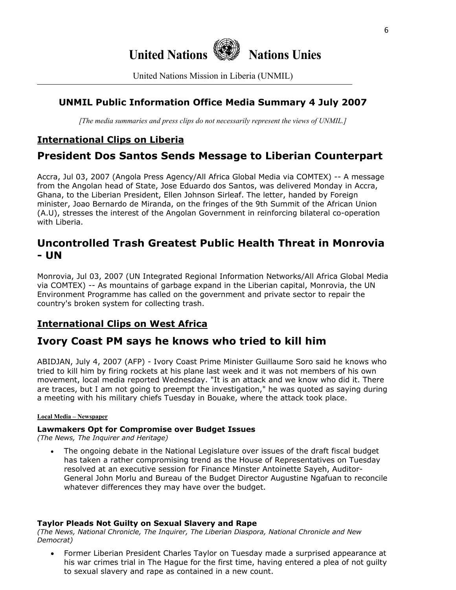

United Nations Mission in Liberia (UNMIL)

### **UNMIL Public Information Office Media Summary 4 July 2007**

*[The media summaries and press clips do not necessarily represent the views of UNMIL.]*

# **International Clips on Liberia**

# **President Dos Santos Sends Message to Liberian Counterpart**

Accra, Jul 03, 2007 (Angola Press Agency/All Africa Global Media via COMTEX) -- A message from the Angolan head of State, Jose Eduardo dos Santos, was delivered Monday in Accra, Ghana, to the Liberian President, Ellen Johnson Sirleaf. The letter, handed by Foreign minister, Joao Bernardo de Miranda, on the fringes of the 9th Summit of the African Union (A.U), stresses the interest of the Angolan Government in reinforcing bilateral co-operation with Liberia.

# **Uncontrolled Trash Greatest Public Health Threat in Monrovia - UN**

Monrovia, Jul 03, 2007 (UN Integrated Regional Information Networks/All Africa Global Media via COMTEX) -- As mountains of garbage expand in the Liberian capital, Monrovia, the UN Environment Programme has called on the government and private sector to repair the country's broken system for collecting trash.

# **International Clips on West Africa**

# **Ivory Coast PM says he knows who tried to kill him**

ABIDJAN, July 4, 2007 (AFP) - Ivory Coast Prime Minister Guillaume Soro said he knows who tried to kill him by firing rockets at his plane last week and it was not members of his own movement, local media reported Wednesday. "It is an attack and we know who did it. There are traces, but I am not going to preempt the investigation," he was quoted as saying during a meeting with his military chiefs Tuesday in Bouake, where the attack took place.

### **Local Media – Newspaper**

### **Lawmakers Opt for Compromise over Budget Issues**

*(The News, The Inquirer and Heritage)*

• The ongoing debate in the National Legislature over issues of the draft fiscal budget has taken a rather compromising trend as the House of Representatives on Tuesday resolved at an executive session for Finance Minster Antoinette Sayeh, Auditor-General John Morlu and Bureau of the Budget Director Augustine Ngafuan to reconcile whatever differences they may have over the budget.

### **Taylor Pleads Not Guilty on Sexual Slavery and Rape**

*(The News, National Chronicle, The Inquirer, The Liberian Diaspora, National Chronicle and New Democrat)* 

• Former Liberian President Charles Taylor on Tuesday made a surprised appearance at his war crimes trial in The Hague for the first time, having entered a plea of not guilty to sexual slavery and rape as contained in a new count.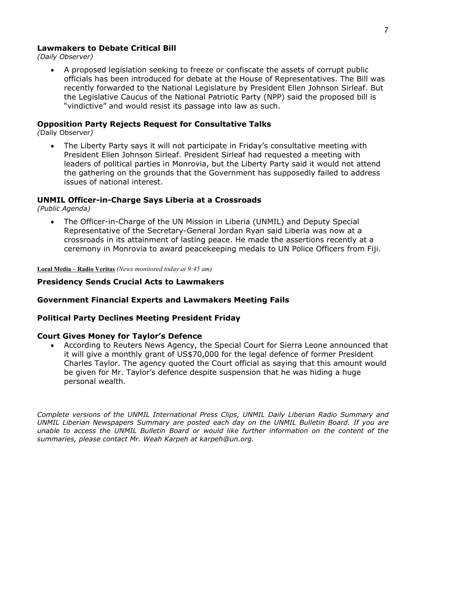#### **Lawmakers to Debate Critical Bill**

*(Daily Observer)* 

• A proposed legislation seeking to freeze or confiscate the assets of corrupt public officials has been introduced for debate at the House of Representatives. The Bill was recently forwarded to the National Legislature by President Ellen Johnson Sirleaf. But the Legislative Caucus of the National Patriotic Party (NPP) said the proposed bill is "vindictive" and would resist its passage into law as such.

#### **Opposition Party Rejects Request for Consultative Talks**

*(*Daily Observer*)* 

• The Liberty Party says it will not participate in Friday's consultative meeting with President Ellen Johnson Sirleaf. President Sirleaf had requested a meeting with leaders of political parties in Monrovia, but the Liberty Party said it would not attend the gathering on the grounds that the Government has supposedly failed to address issues of national interest.

### **UNMIL Officer-in-Charge Says Liberia at a Crossroads**

*(Public Agenda)* 

• The Officer-in-Charge of the UN Mission in Liberia (UNMIL) and Deputy Special Representative of the Secretary-General Jordan Ryan said Liberia was now at a crossroads in its attainment of lasting peace. He made the assertions recently at a ceremony in Monrovia to award peacekeeping medals to UN Police Officers from Fiji.

**Local Media – Radio Veritas** *(News monitored today at 9:45 am)*

#### **Presidency Sends Crucial Acts to Lawmakers**

#### **Government Financial Experts and Lawmakers Meeting Fails**

#### **Political Party Declines Meeting President Friday**

#### **Court Gives Money for Taylor's Defence**

• According to Reuters News Agency, the Special Court for Sierra Leone announced that it will give a monthly grant of US\$70,000 for the legal defence of former President Charles Taylor. The agency quoted the Court official as saying that this amount would be given for Mr. Taylor's defence despite suspension that he was hiding a huge personal wealth.

*Complete versions of the UNMIL International Press Clips, UNMIL Daily Liberian Radio Summary and UNMIL Liberian Newspapers Summary are posted each day on the UNMIL Bulletin Board. If you are unable to access the UNMIL Bulletin Board or would like further information on the content of the summaries, please contact Mr. Weah Karpeh at karpeh@un.org.*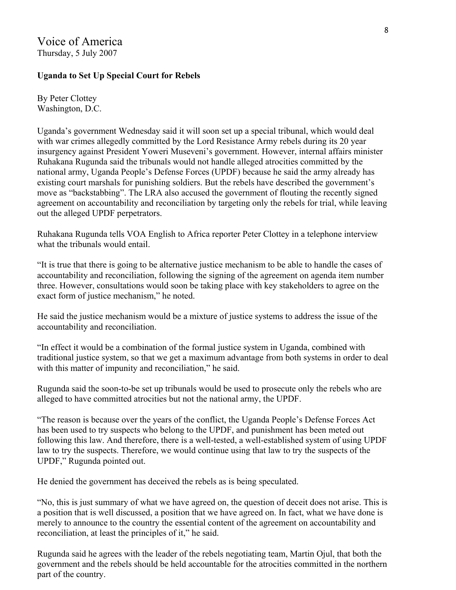## Voice of America Thursday, 5 July 2007

### **Uganda to Set Up Special Court for Rebels**

By Peter Clottey Washington, D.C.

Uganda's government Wednesday said it will soon set up a special tribunal, which would deal with war crimes allegedly committed by the Lord Resistance Army rebels during its 20 year insurgency against President Yoweri Museveni's government. However, internal affairs minister Ruhakana Rugunda said the tribunals would not handle alleged atrocities committed by the national army, Uganda People's Defense Forces (UPDF) because he said the army already has existing court marshals for punishing soldiers. But the rebels have described the government's move as "backstabbing". The LRA also accused the government of flouting the recently signed agreement on accountability and reconciliation by targeting only the rebels for trial, while leaving out the alleged UPDF perpetrators.

Ruhakana Rugunda tells VOA English to Africa reporter Peter Clottey in a telephone interview what the tribunals would entail

"It is true that there is going to be alternative justice mechanism to be able to handle the cases of accountability and reconciliation, following the signing of the agreement on agenda item number three. However, consultations would soon be taking place with key stakeholders to agree on the exact form of justice mechanism," he noted.

He said the justice mechanism would be a mixture of justice systems to address the issue of the accountability and reconciliation.

"In effect it would be a combination of the formal justice system in Uganda, combined with traditional justice system, so that we get a maximum advantage from both systems in order to deal with this matter of impunity and reconciliation," he said.

Rugunda said the soon-to-be set up tribunals would be used to prosecute only the rebels who are alleged to have committed atrocities but not the national army, the UPDF.

"The reason is because over the years of the conflict, the Uganda People's Defense Forces Act has been used to try suspects who belong to the UPDF, and punishment has been meted out following this law. And therefore, there is a well-tested, a well-established system of using UPDF law to try the suspects. Therefore, we would continue using that law to try the suspects of the UPDF," Rugunda pointed out.

He denied the government has deceived the rebels as is being speculated.

"No, this is just summary of what we have agreed on, the question of deceit does not arise. This is a position that is well discussed, a position that we have agreed on. In fact, what we have done is merely to announce to the country the essential content of the agreement on accountability and reconciliation, at least the principles of it," he said.

Rugunda said he agrees with the leader of the rebels negotiating team, Martin Ojul, that both the government and the rebels should be held accountable for the atrocities committed in the northern part of the country.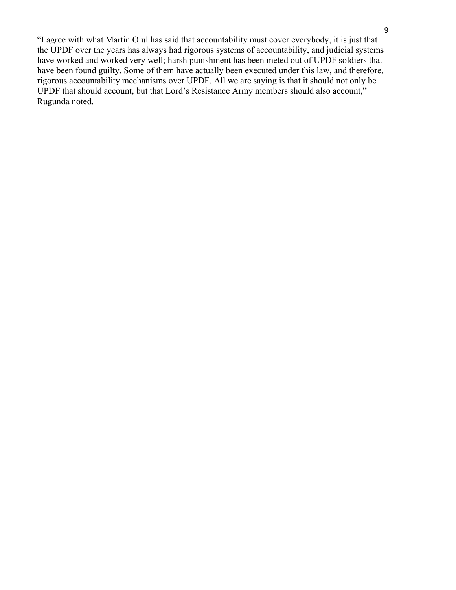"I agree with what Martin Ojul has said that accountability must cover everybody, it is just that the UPDF over the years has always had rigorous systems of accountability, and judicial systems have worked and worked very well; harsh punishment has been meted out of UPDF soldiers that have been found guilty. Some of them have actually been executed under this law, and therefore, rigorous accountability mechanisms over UPDF. All we are saying is that it should not only be UPDF that should account, but that Lord's Resistance Army members should also account," Rugunda noted.